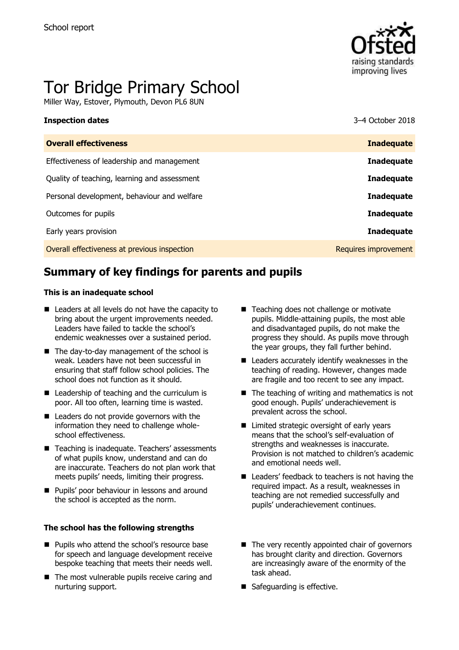

# Tor Bridge Primary School

Miller Way, Estover, Plymouth, Devon PL6 8UN

| 3–4 October 2018     |
|----------------------|
| <b>Inadequate</b>    |
| <b>Inadequate</b>    |
| <b>Inadequate</b>    |
| <b>Inadequate</b>    |
| <b>Inadequate</b>    |
| <b>Inadequate</b>    |
| Requires improvement |
|                      |

# **Summary of key findings for parents and pupils**

#### **This is an inadequate school**

- Leaders at all levels do not have the capacity to bring about the urgent improvements needed. Leaders have failed to tackle the school's endemic weaknesses over a sustained period.
- The day-to-day management of the school is weak. Leaders have not been successful in ensuring that staff follow school policies. The school does not function as it should.
- Leadership of teaching and the curriculum is poor. All too often, learning time is wasted.
- Leaders do not provide governors with the information they need to challenge wholeschool effectiveness.
- Teaching is inadequate. Teachers' assessments of what pupils know, understand and can do are inaccurate. Teachers do not plan work that meets pupils' needs, limiting their progress.
- **Pupils' poor behaviour in lessons and around** the school is accepted as the norm.

#### **The school has the following strengths**

- **Pupils who attend the school's resource base** for speech and language development receive bespoke teaching that meets their needs well.
- The most vulnerable pupils receive caring and nurturing support.
- Teaching does not challenge or motivate pupils. Middle-attaining pupils, the most able and disadvantaged pupils, do not make the progress they should. As pupils move through the year groups, they fall further behind.
- Leaders accurately identify weaknesses in the teaching of reading. However, changes made are fragile and too recent to see any impact.
- $\blacksquare$  The teaching of writing and mathematics is not good enough. Pupils' underachievement is prevalent across the school.
- Limited strategic oversight of early years means that the school's self-evaluation of strengths and weaknesses is inaccurate. Provision is not matched to children's academic and emotional needs well.
- Leaders' feedback to teachers is not having the required impact. As a result, weaknesses in teaching are not remedied successfully and pupils' underachievement continues.
- $\blacksquare$  The very recently appointed chair of governors has brought clarity and direction. Governors are increasingly aware of the enormity of the task ahead.
- Safeguarding is effective.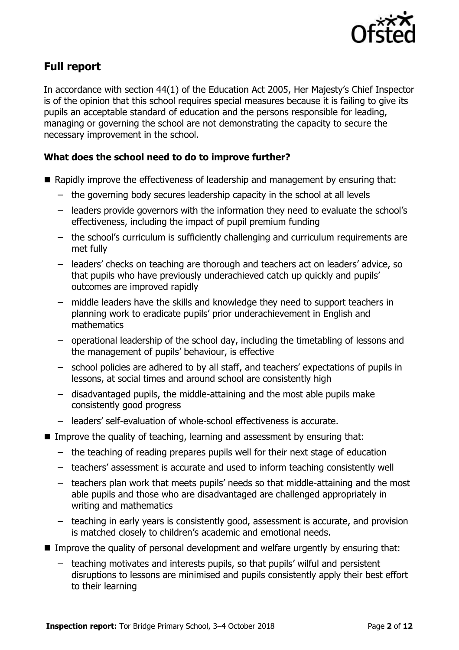

# **Full report**

In accordance with section 44(1) of the Education Act 2005, Her Majesty's Chief Inspector is of the opinion that this school requires special measures because it is failing to give its pupils an acceptable standard of education and the persons responsible for leading, managing or governing the school are not demonstrating the capacity to secure the necessary improvement in the school.

### **What does the school need to do to improve further?**

- Rapidly improve the effectiveness of leadership and management by ensuring that:
	- the governing body secures leadership capacity in the school at all levels
	- leaders provide governors with the information they need to evaluate the school's effectiveness, including the impact of pupil premium funding
	- the school's curriculum is sufficiently challenging and curriculum requirements are met fully
	- leaders' checks on teaching are thorough and teachers act on leaders' advice, so that pupils who have previously underachieved catch up quickly and pupils' outcomes are improved rapidly
	- middle leaders have the skills and knowledge they need to support teachers in planning work to eradicate pupils' prior underachievement in English and mathematics
	- operational leadership of the school day, including the timetabling of lessons and the management of pupils' behaviour, is effective
	- school policies are adhered to by all staff, and teachers' expectations of pupils in lessons, at social times and around school are consistently high
	- disadvantaged pupils, the middle-attaining and the most able pupils make consistently good progress
	- leaders' self-evaluation of whole-school effectiveness is accurate.
- **IMPROVE the quality of teaching, learning and assessment by ensuring that:** 
	- the teaching of reading prepares pupils well for their next stage of education
	- teachers' assessment is accurate and used to inform teaching consistently well
	- teachers plan work that meets pupils' needs so that middle-attaining and the most able pupils and those who are disadvantaged are challenged appropriately in writing and mathematics
	- teaching in early years is consistently good, assessment is accurate, and provision is matched closely to children's academic and emotional needs.
- Improve the quality of personal development and welfare urgently by ensuring that:
	- teaching motivates and interests pupils, so that pupils' wilful and persistent disruptions to lessons are minimised and pupils consistently apply their best effort to their learning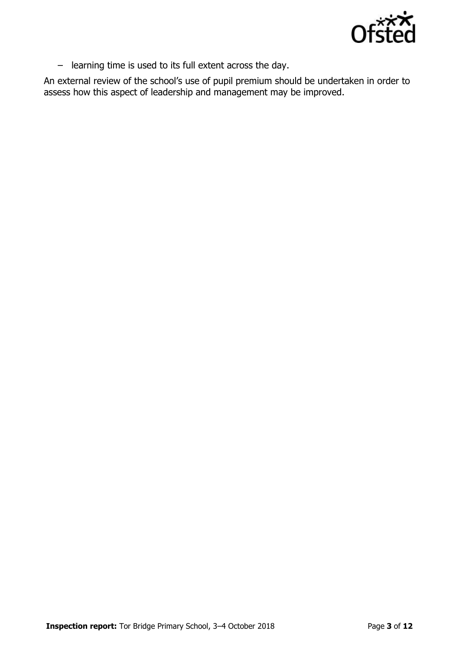

– learning time is used to its full extent across the day.

An external review of the school's use of pupil premium should be undertaken in order to assess how this aspect of leadership and management may be improved.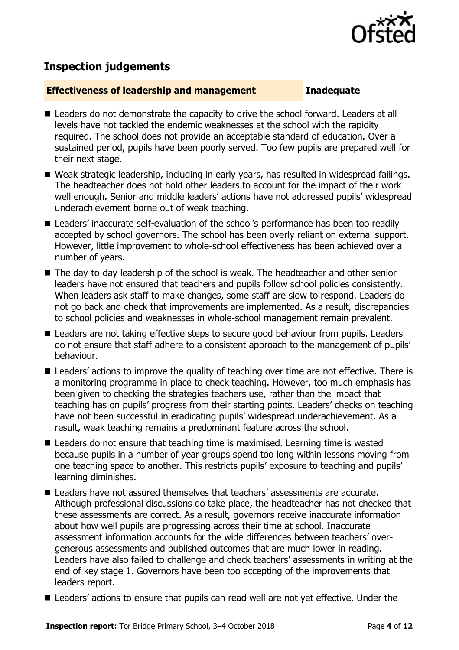

## **Inspection judgements**

#### **Effectiveness of leadership and management Inadequate**

- Leaders do not demonstrate the capacity to drive the school forward. Leaders at all levels have not tackled the endemic weaknesses at the school with the rapidity required. The school does not provide an acceptable standard of education. Over a sustained period, pupils have been poorly served. Too few pupils are prepared well for their next stage.
- Weak strategic leadership, including in early years, has resulted in widespread failings. The headteacher does not hold other leaders to account for the impact of their work well enough. Senior and middle leaders' actions have not addressed pupils' widespread underachievement borne out of weak teaching.
- Leaders' inaccurate self-evaluation of the school's performance has been too readily accepted by school governors. The school has been overly reliant on external support. However, little improvement to whole-school effectiveness has been achieved over a number of years.
- The day-to-day leadership of the school is weak. The headteacher and other senior leaders have not ensured that teachers and pupils follow school policies consistently. When leaders ask staff to make changes, some staff are slow to respond. Leaders do not go back and check that improvements are implemented. As a result, discrepancies to school policies and weaknesses in whole-school management remain prevalent.
- Leaders are not taking effective steps to secure good behaviour from pupils. Leaders do not ensure that staff adhere to a consistent approach to the management of pupils' behaviour.
- Leaders' actions to improve the quality of teaching over time are not effective. There is a monitoring programme in place to check teaching. However, too much emphasis has been given to checking the strategies teachers use, rather than the impact that teaching has on pupils' progress from their starting points. Leaders' checks on teaching have not been successful in eradicating pupils' widespread underachievement. As a result, weak teaching remains a predominant feature across the school.
- Leaders do not ensure that teaching time is maximised. Learning time is wasted because pupils in a number of year groups spend too long within lessons moving from one teaching space to another. This restricts pupils' exposure to teaching and pupils' learning diminishes.
- **Leaders have not assured themselves that teachers' assessments are accurate.** Although professional discussions do take place, the headteacher has not checked that these assessments are correct. As a result, governors receive inaccurate information about how well pupils are progressing across their time at school. Inaccurate assessment information accounts for the wide differences between teachers' overgenerous assessments and published outcomes that are much lower in reading. Leaders have also failed to challenge and check teachers' assessments in writing at the end of key stage 1. Governors have been too accepting of the improvements that leaders report.
- Leaders' actions to ensure that pupils can read well are not yet effective. Under the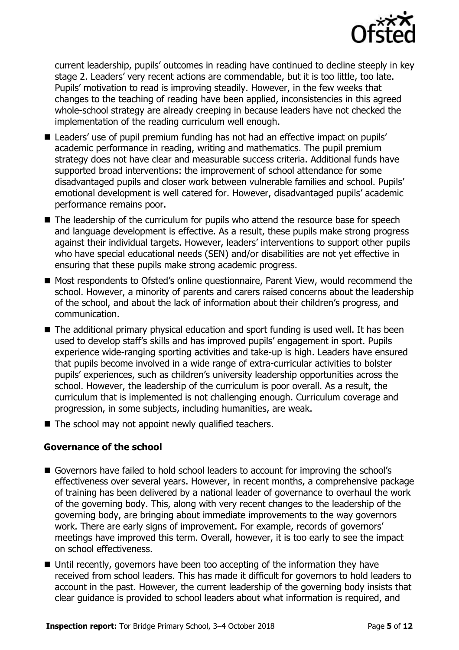

current leadership, pupils' outcomes in reading have continued to decline steeply in key stage 2. Leaders' very recent actions are commendable, but it is too little, too late. Pupils' motivation to read is improving steadily. However, in the few weeks that changes to the teaching of reading have been applied, inconsistencies in this agreed whole-school strategy are already creeping in because leaders have not checked the implementation of the reading curriculum well enough.

- Leaders' use of pupil premium funding has not had an effective impact on pupils' academic performance in reading, writing and mathematics. The pupil premium strategy does not have clear and measurable success criteria. Additional funds have supported broad interventions: the improvement of school attendance for some disadvantaged pupils and closer work between vulnerable families and school. Pupils' emotional development is well catered for. However, disadvantaged pupils' academic performance remains poor.
- The leadership of the curriculum for pupils who attend the resource base for speech and language development is effective. As a result, these pupils make strong progress against their individual targets. However, leaders' interventions to support other pupils who have special educational needs (SEN) and/or disabilities are not yet effective in ensuring that these pupils make strong academic progress.
- Most respondents to Ofsted's online questionnaire, Parent View, would recommend the school. However, a minority of parents and carers raised concerns about the leadership of the school, and about the lack of information about their children's progress, and communication.
- The additional primary physical education and sport funding is used well. It has been used to develop staff's skills and has improved pupils' engagement in sport. Pupils experience wide-ranging sporting activities and take-up is high. Leaders have ensured that pupils become involved in a wide range of extra-curricular activities to bolster pupils' experiences, such as children's university leadership opportunities across the school. However, the leadership of the curriculum is poor overall. As a result, the curriculum that is implemented is not challenging enough. Curriculum coverage and progression, in some subjects, including humanities, are weak.
- $\blacksquare$  The school may not appoint newly qualified teachers.

### **Governance of the school**

- Governors have failed to hold school leaders to account for improving the school's effectiveness over several years. However, in recent months, a comprehensive package of training has been delivered by a national leader of governance to overhaul the work of the governing body. This, along with very recent changes to the leadership of the governing body, are bringing about immediate improvements to the way governors work. There are early signs of improvement. For example, records of governors' meetings have improved this term. Overall, however, it is too early to see the impact on school effectiveness.
- Until recently, governors have been too accepting of the information they have received from school leaders. This has made it difficult for governors to hold leaders to account in the past. However, the current leadership of the governing body insists that clear guidance is provided to school leaders about what information is required, and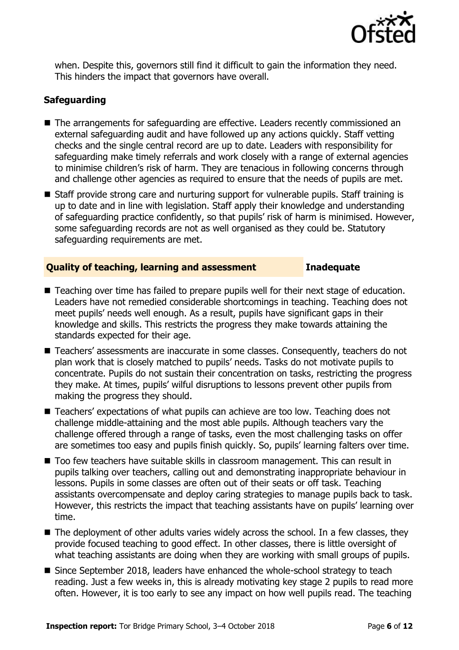

when. Despite this, governors still find it difficult to gain the information they need. This hinders the impact that governors have overall.

### **Safeguarding**

- The arrangements for safeguarding are effective. Leaders recently commissioned an external safeguarding audit and have followed up any actions quickly. Staff vetting checks and the single central record are up to date. Leaders with responsibility for safeguarding make timely referrals and work closely with a range of external agencies to minimise children's risk of harm. They are tenacious in following concerns through and challenge other agencies as required to ensure that the needs of pupils are met.
- Staff provide strong care and nurturing support for vulnerable pupils. Staff training is up to date and in line with legislation. Staff apply their knowledge and understanding of safeguarding practice confidently, so that pupils' risk of harm is minimised. However, some safeguarding records are not as well organised as they could be. Statutory safeguarding requirements are met.

#### **Quality of teaching, learning and assessment Inadequate**

- Teaching over time has failed to prepare pupils well for their next stage of education. Leaders have not remedied considerable shortcomings in teaching. Teaching does not meet pupils' needs well enough. As a result, pupils have significant gaps in their knowledge and skills. This restricts the progress they make towards attaining the standards expected for their age.
- Teachers' assessments are inaccurate in some classes. Consequently, teachers do not plan work that is closely matched to pupils' needs. Tasks do not motivate pupils to concentrate. Pupils do not sustain their concentration on tasks, restricting the progress they make. At times, pupils' wilful disruptions to lessons prevent other pupils from making the progress they should.
- Teachers' expectations of what pupils can achieve are too low. Teaching does not challenge middle-attaining and the most able pupils. Although teachers vary the challenge offered through a range of tasks, even the most challenging tasks on offer are sometimes too easy and pupils finish quickly. So, pupils' learning falters over time.
- Too few teachers have suitable skills in classroom management. This can result in pupils talking over teachers, calling out and demonstrating inappropriate behaviour in lessons. Pupils in some classes are often out of their seats or off task. Teaching assistants overcompensate and deploy caring strategies to manage pupils back to task. However, this restricts the impact that teaching assistants have on pupils' learning over time.
- The deployment of other adults varies widely across the school. In a few classes, they provide focused teaching to good effect. In other classes, there is little oversight of what teaching assistants are doing when they are working with small groups of pupils.
- Since September 2018, leaders have enhanced the whole-school strategy to teach reading. Just a few weeks in, this is already motivating key stage 2 pupils to read more often. However, it is too early to see any impact on how well pupils read. The teaching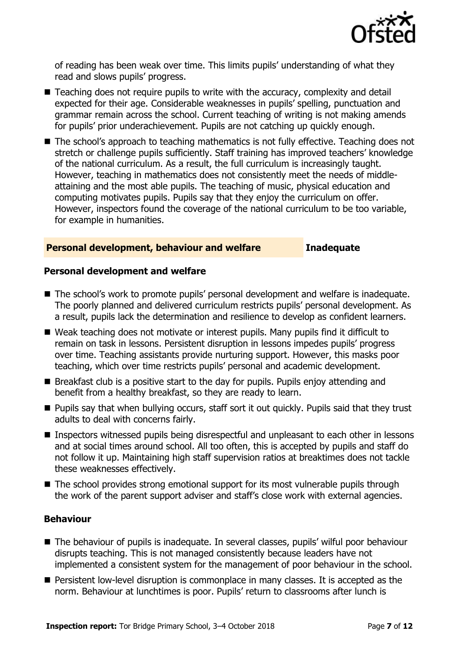

of reading has been weak over time. This limits pupils' understanding of what they read and slows pupils' progress.

- Teaching does not require pupils to write with the accuracy, complexity and detail expected for their age. Considerable weaknesses in pupils' spelling, punctuation and grammar remain across the school. Current teaching of writing is not making amends for pupils' prior underachievement. Pupils are not catching up quickly enough.
- The school's approach to teaching mathematics is not fully effective. Teaching does not stretch or challenge pupils sufficiently. Staff training has improved teachers' knowledge of the national curriculum. As a result, the full curriculum is increasingly taught. However, teaching in mathematics does not consistently meet the needs of middleattaining and the most able pupils. The teaching of music, physical education and computing motivates pupils. Pupils say that they enjoy the curriculum on offer. However, inspectors found the coverage of the national curriculum to be too variable, for example in humanities.

#### **Personal development, behaviour and welfare Inadequate**

#### **Personal development and welfare**

- The school's work to promote pupils' personal development and welfare is inadequate. The poorly planned and delivered curriculum restricts pupils' personal development. As a result, pupils lack the determination and resilience to develop as confident learners.
- Weak teaching does not motivate or interest pupils. Many pupils find it difficult to remain on task in lessons. Persistent disruption in lessons impedes pupils' progress over time. Teaching assistants provide nurturing support. However, this masks poor teaching, which over time restricts pupils' personal and academic development.
- $\blacksquare$  Breakfast club is a positive start to the day for pupils. Pupils enjoy attending and benefit from a healthy breakfast, so they are ready to learn.
- **Pupils say that when bullying occurs, staff sort it out quickly. Pupils said that they trust** adults to deal with concerns fairly.
- Inspectors witnessed pupils being disrespectful and unpleasant to each other in lessons and at social times around school. All too often, this is accepted by pupils and staff do not follow it up. Maintaining high staff supervision ratios at breaktimes does not tackle these weaknesses effectively.
- The school provides strong emotional support for its most vulnerable pupils through the work of the parent support adviser and staff's close work with external agencies.

#### **Behaviour**

- The behaviour of pupils is inadequate. In several classes, pupils' wilful poor behaviour disrupts teaching. This is not managed consistently because leaders have not implemented a consistent system for the management of poor behaviour in the school.
- **Persistent low-level disruption is commonplace in many classes. It is accepted as the** norm. Behaviour at lunchtimes is poor. Pupils' return to classrooms after lunch is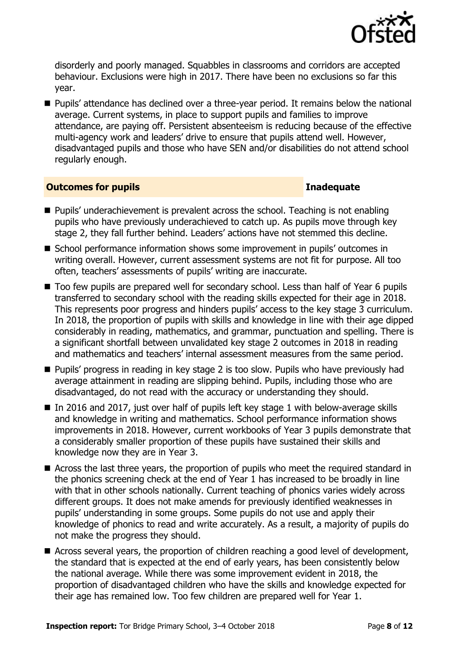

disorderly and poorly managed. Squabbles in classrooms and corridors are accepted behaviour. Exclusions were high in 2017. There have been no exclusions so far this year.

■ Pupils' attendance has declined over a three-year period. It remains below the national average. Current systems, in place to support pupils and families to improve attendance, are paying off. Persistent absenteeism is reducing because of the effective multi-agency work and leaders' drive to ensure that pupils attend well. However, disadvantaged pupils and those who have SEN and/or disabilities do not attend school regularly enough.

#### **Outcomes for pupils Inadequate**

- **Pupils' underachievement is prevalent across the school. Teaching is not enabling** pupils who have previously underachieved to catch up. As pupils move through key stage 2, they fall further behind. Leaders' actions have not stemmed this decline.
- School performance information shows some improvement in pupils' outcomes in writing overall. However, current assessment systems are not fit for purpose. All too often, teachers' assessments of pupils' writing are inaccurate.
- Too few pupils are prepared well for secondary school. Less than half of Year 6 pupils transferred to secondary school with the reading skills expected for their age in 2018. This represents poor progress and hinders pupils' access to the key stage 3 curriculum. In 2018, the proportion of pupils with skills and knowledge in line with their age dipped considerably in reading, mathematics, and grammar, punctuation and spelling. There is a significant shortfall between unvalidated key stage 2 outcomes in 2018 in reading and mathematics and teachers' internal assessment measures from the same period.
- **Pupils' progress in reading in key stage 2 is too slow. Pupils who have previously had** average attainment in reading are slipping behind. Pupils, including those who are disadvantaged, do not read with the accuracy or understanding they should.
- $\blacksquare$  In 2016 and 2017, just over half of pupils left key stage 1 with below-average skills and knowledge in writing and mathematics. School performance information shows improvements in 2018. However, current workbooks of Year 3 pupils demonstrate that a considerably smaller proportion of these pupils have sustained their skills and knowledge now they are in Year 3.
- Across the last three years, the proportion of pupils who meet the required standard in the phonics screening check at the end of Year 1 has increased to be broadly in line with that in other schools nationally. Current teaching of phonics varies widely across different groups. It does not make amends for previously identified weaknesses in pupils' understanding in some groups. Some pupils do not use and apply their knowledge of phonics to read and write accurately. As a result, a majority of pupils do not make the progress they should.
- Across several years, the proportion of children reaching a good level of development, the standard that is expected at the end of early years, has been consistently below the national average. While there was some improvement evident in 2018, the proportion of disadvantaged children who have the skills and knowledge expected for their age has remained low. Too few children are prepared well for Year 1.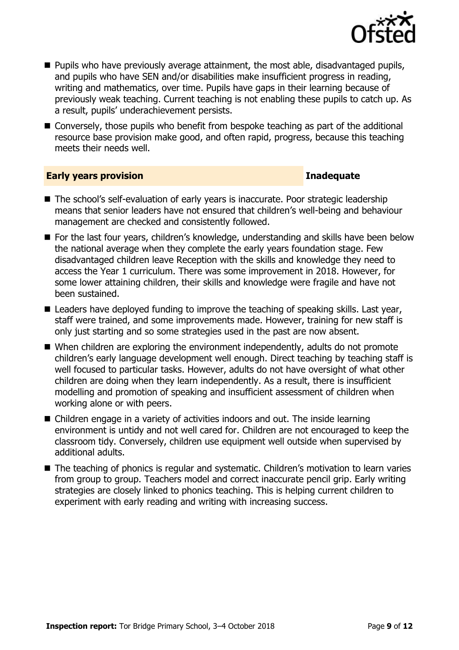

- $\blacksquare$  Pupils who have previously average attainment, the most able, disadvantaged pupils, and pupils who have SEN and/or disabilities make insufficient progress in reading, writing and mathematics, over time. Pupils have gaps in their learning because of previously weak teaching. Current teaching is not enabling these pupils to catch up. As a result, pupils' underachievement persists.
- Conversely, those pupils who benefit from bespoke teaching as part of the additional resource base provision make good, and often rapid, progress, because this teaching meets their needs well.

#### **Early years provision Inadequate**

- The school's self-evaluation of early years is inaccurate. Poor strategic leadership means that senior leaders have not ensured that children's well-being and behaviour management are checked and consistently followed.
- For the last four vears, children's knowledge, understanding and skills have been below the national average when they complete the early years foundation stage. Few disadvantaged children leave Reception with the skills and knowledge they need to access the Year 1 curriculum. There was some improvement in 2018. However, for some lower attaining children, their skills and knowledge were fragile and have not been sustained.
- Leaders have deployed funding to improve the teaching of speaking skills. Last year, staff were trained, and some improvements made. However, training for new staff is only just starting and so some strategies used in the past are now absent.
- When children are exploring the environment independently, adults do not promote children's early language development well enough. Direct teaching by teaching staff is well focused to particular tasks. However, adults do not have oversight of what other children are doing when they learn independently. As a result, there is insufficient modelling and promotion of speaking and insufficient assessment of children when working alone or with peers.
- Children engage in a variety of activities indoors and out. The inside learning environment is untidy and not well cared for. Children are not encouraged to keep the classroom tidy. Conversely, children use equipment well outside when supervised by additional adults.
- The teaching of phonics is regular and systematic. Children's motivation to learn varies from group to group. Teachers model and correct inaccurate pencil grip. Early writing strategies are closely linked to phonics teaching. This is helping current children to experiment with early reading and writing with increasing success.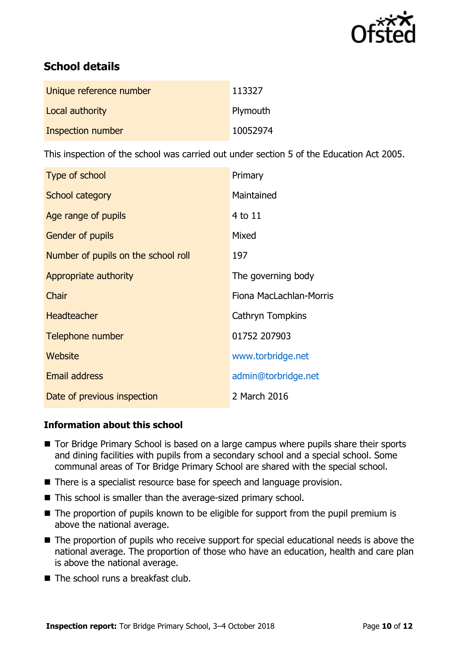

# **School details**

| Unique reference number | 113327   |
|-------------------------|----------|
| Local authority         | Plymouth |
| Inspection number       | 10052974 |

This inspection of the school was carried out under section 5 of the Education Act 2005.

| Type of school                      | Primary                 |
|-------------------------------------|-------------------------|
| School category                     | Maintained              |
| Age range of pupils                 | 4 to 11                 |
| <b>Gender of pupils</b>             | Mixed                   |
| Number of pupils on the school roll | 197                     |
| Appropriate authority               | The governing body      |
| Chair                               | Fiona MacLachlan-Morris |
| <b>Headteacher</b>                  | Cathryn Tompkins        |
| Telephone number                    | 01752 207903            |
| Website                             | www.torbridge.net       |
| <b>Email address</b>                | admin@torbridge.net     |
| Date of previous inspection         | 2 March 2016            |

### **Information about this school**

- Tor Bridge Primary School is based on a large campus where pupils share their sports and dining facilities with pupils from a secondary school and a special school. Some communal areas of Tor Bridge Primary School are shared with the special school.
- There is a specialist resource base for speech and language provision.
- This school is smaller than the average-sized primary school.
- The proportion of pupils known to be eligible for support from the pupil premium is above the national average.
- The proportion of pupils who receive support for special educational needs is above the national average. The proportion of those who have an education, health and care plan is above the national average.
- $\blacksquare$  The school runs a breakfast club.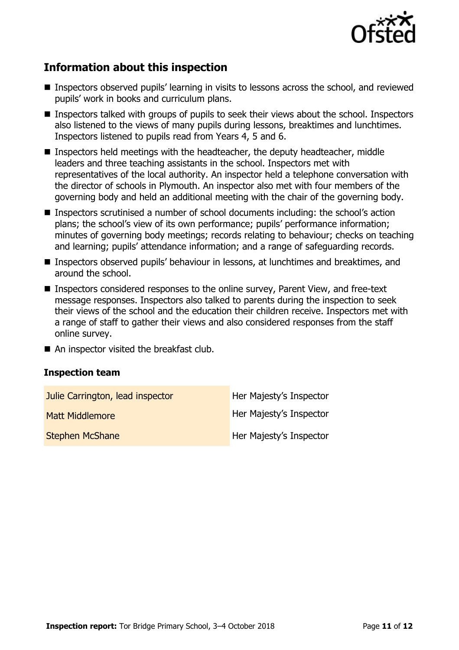

# **Information about this inspection**

- Inspectors observed pupils' learning in visits to lessons across the school, and reviewed pupils' work in books and curriculum plans.
- Inspectors talked with groups of pupils to seek their views about the school. Inspectors also listened to the views of many pupils during lessons, breaktimes and lunchtimes. Inspectors listened to pupils read from Years 4, 5 and 6.
- Inspectors held meetings with the headteacher, the deputy headteacher, middle leaders and three teaching assistants in the school. Inspectors met with representatives of the local authority. An inspector held a telephone conversation with the director of schools in Plymouth. An inspector also met with four members of the governing body and held an additional meeting with the chair of the governing body.
- Inspectors scrutinised a number of school documents including: the school's action plans; the school's view of its own performance; pupils' performance information; minutes of governing body meetings; records relating to behaviour; checks on teaching and learning; pupils' attendance information; and a range of safeguarding records.
- Inspectors observed pupils' behaviour in lessons, at lunchtimes and breaktimes, and around the school.
- Inspectors considered responses to the online survey, Parent View, and free-text message responses. Inspectors also talked to parents during the inspection to seek their views of the school and the education their children receive. Inspectors met with a range of staff to gather their views and also considered responses from the staff online survey.
- An inspector visited the breakfast club.

#### **Inspection team**

| Julie Carrington, lead inspector | Her Majesty's Inspector |
|----------------------------------|-------------------------|
| <b>Matt Middlemore</b>           | Her Majesty's Inspector |
| <b>Stephen McShane</b>           | Her Majesty's Inspector |